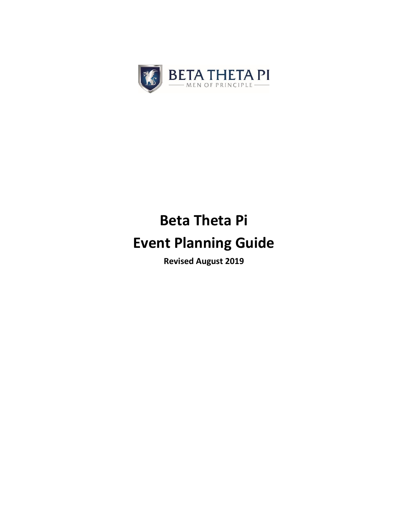

# **Beta Theta Pi Event Planning Guide**

**Revised August 2019**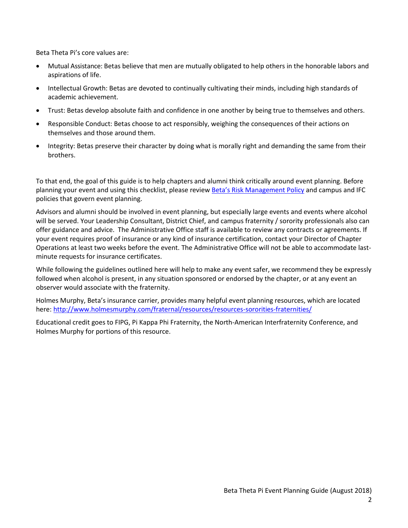Beta Theta Pi's core values are:

- Mutual Assistance: Betas believe that men are mutually obligated to help others in the honorable labors and aspirations of life.
- Intellectual Growth: Betas are devoted to continually cultivating their minds, including high standards of academic achievement.
- Trust: Betas develop absolute faith and confidence in one another by being true to themselves and others.
- Responsible Conduct: Betas choose to act responsibly, weighing the consequences of their actions on themselves and those around them.
- Integrity: Betas preserve their character by doing what is morally right and demanding the same from their brothers.

To that end, the goal of this guide is to help chapters and alumni think critically around event planning. Before planning your event and using this checklist, please review [Beta's Risk Management Policy](http://beta.org/rmpolicy) and campus and IFC policies that govern event planning.

Advisors and alumni should be involved in event planning, but especially large events and events where alcohol will be served. Your Leadership Consultant, District Chief, and campus fraternity / sorority professionals also can offer guidance and advice. The Administrative Office staff is available to review any contracts or agreements. If your event requires proof of insurance or any kind of insurance certification, contact your Director of Chapter Operations at least two weeks before the event. The Administrative Office will not be able to accommodate lastminute requests for insurance certificates.

While following the guidelines outlined here will help to make any event safer, we recommend they be expressly followed when alcohol is present, in any situation sponsored or endorsed by the chapter, or at any event an observer would associate with the fraternity.

Holmes Murphy, Beta's insurance carrier, provides many helpful event planning resources, which are located here:<http://www.holmesmurphy.com/fraternal/resources/resources-sororities-fraternities/>

Educational credit goes to FIPG, Pi Kappa Phi Fraternity, the North-American Interfraternity Conference, and Holmes Murphy for portions of this resource.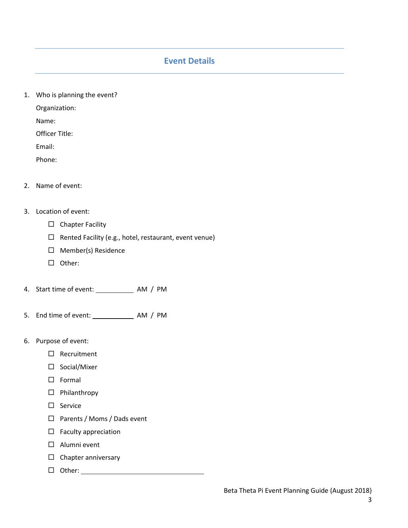# **Event Details**

1. Who is planning the event?

Organization:

Name:

Officer Title:

Email:

Phone:

2. Name of event:

# 3. Location of event:

- $\square$  Chapter Facility
- $\Box$  Rented Facility (e.g., hotel, restaurant, event venue)
- $\Box$  Member(s) Residence
- $\square$  Other:
- 4. Start time of event: AM / PM
- 5. End time of event: AM / PM
- 6. Purpose of event:
	- □ Recruitment
	- □ Social/Mixer
	- $\square$  Formal
	- Philanthropy
	- $\square$  Service
	- □ Parents / Moms / Dads event
	- $\Box$  Faculty appreciation
	- Alumni event
	- $\square$  Chapter anniversary
	- $\Box$  Other:  $\_\_\_\_\_\_\_\_\_\_\_\_$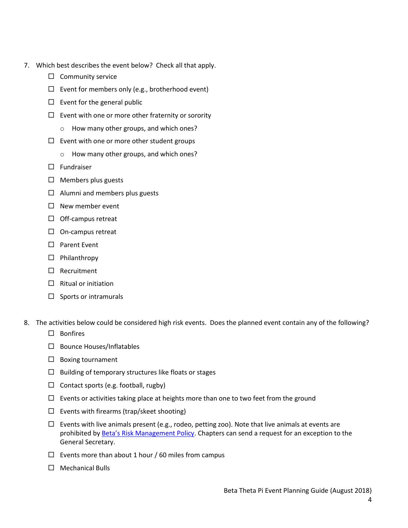- 7. Which best describes the event below? Check all that apply.
	- $\Box$  Community service
	- $\square$  Event for members only (e.g., brotherhood event)
	- $\square$  Event for the general public
	- $\square$  Event with one or more other fraternity or sorority
		- o How many other groups, and which ones?
	- $\square$  Event with one or more other student groups
		- o How many other groups, and which ones?
	- $\square$  Fundraiser
	- $\Box$  Members plus guests
	- $\Box$  Alumni and members plus guests
	- $\Box$  New member event
	- $\Box$  Off-campus retreat
	- $\Box$  On-campus retreat
	- □ Parent Event
	- $\Box$  Philanthropy
	- □ Recruitment
	- $\Box$  Ritual or initiation
	- $\square$  Sports or intramurals
- 8. The activities below could be considered high risk events. Does the planned event contain any of the following?
	- $\square$  Bonfires
	- $\square$  Bounce Houses/Inflatables
	- $\square$  Boxing tournament
	- $\Box$  Building of temporary structures like floats or stages
	- $\Box$  Contact sports (e.g. football, rugby)
	- $\square$  Events or activities taking place at heights more than one to two feet from the ground
	- $\square$  Events with firearms (trap/skeet shooting)
	- $\Box$  Events with live animals present (e.g., rodeo, petting zoo). Note that live animals at events are prohibited by Beta's [Risk Management Policy.](http://www.beta.org/rmpolicy) Chapters can send a request for an exception to the General Secretary.
	- $\Box$  Events more than about 1 hour / 60 miles from campus
	- $\Box$  Mechanical Bulls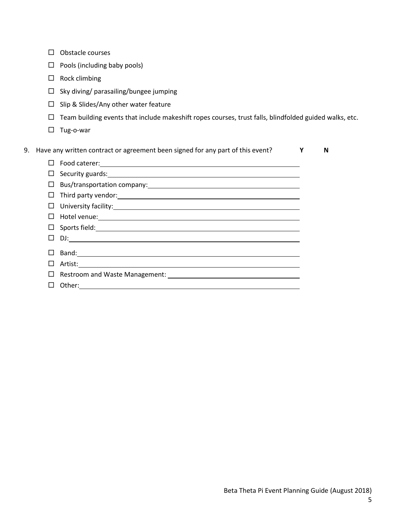|    | П      | Obstacle courses                                                                                                                                                                                                                     |   |   |  |
|----|--------|--------------------------------------------------------------------------------------------------------------------------------------------------------------------------------------------------------------------------------------|---|---|--|
|    | ப      | Pools (including baby pools)                                                                                                                                                                                                         |   |   |  |
|    | $\Box$ | Rock climbing                                                                                                                                                                                                                        |   |   |  |
|    | $\Box$ | Sky diving/ parasailing/bungee jumping                                                                                                                                                                                               |   |   |  |
|    | $\Box$ | Slip & Slides/Any other water feature                                                                                                                                                                                                |   |   |  |
|    | $\Box$ | Team building events that include makeshift ropes courses, trust falls, blindfolded guided walks, etc.                                                                                                                               |   |   |  |
|    | □      | Tug-o-war                                                                                                                                                                                                                            |   |   |  |
| 9. |        | Have any written contract or agreement been signed for any part of this event?                                                                                                                                                       | Υ | N |  |
|    | П      |                                                                                                                                                                                                                                      |   |   |  |
|    | $\Box$ |                                                                                                                                                                                                                                      |   |   |  |
|    | □      |                                                                                                                                                                                                                                      |   |   |  |
|    | □      |                                                                                                                                                                                                                                      |   |   |  |
|    | □      |                                                                                                                                                                                                                                      |   |   |  |
|    | □      | Hotel venue: Notel venue and the second service of the service of the service of the service of the service of                                                                                                                       |   |   |  |
|    | □      | Sports field: <u>Community of the Community of the Community of the Community of the Community of the Community of the Community of the Community of the Community of the Community of the Community of the Community of the Com</u> |   |   |  |
|    | □      |                                                                                                                                                                                                                                      |   |   |  |
|    | $\Box$ |                                                                                                                                                                                                                                      |   |   |  |
|    | □      | Artist: Andrew March 2014 - Andrew March 2014 - Andrew March 2014 - Andrew March 2014                                                                                                                                                |   |   |  |
|    | □      |                                                                                                                                                                                                                                      |   |   |  |
|    | □      | Other:                                                                                                                                                                                                                               |   |   |  |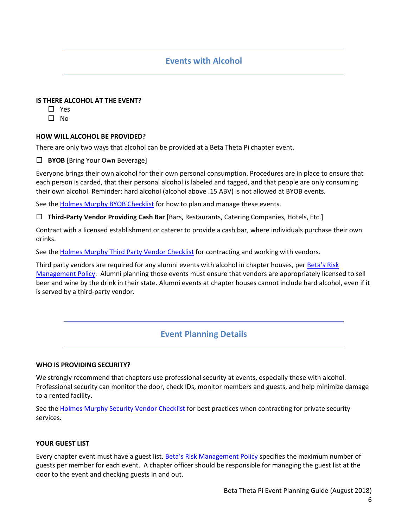# **Events with Alcohol**

## **IS THERE ALCOHOL AT THE EVENT?**

- □ Yes
- $\Box$  No

# **HOW WILL ALCOHOL BE PROVIDED?**

There are only two ways that alcohol can be provided at a Beta Theta Pi chapter event.

**BYOB** [Bring Your Own Beverage]

Everyone brings their own alcohol for their own personal consumption. Procedures are in place to ensure that each person is carded, that their personal alcohol is labeled and tagged, and that people are only consuming their own alcohol. Reminder: hard alcohol (alcohol above .15 ABV) is not allowed at BYOB events.

See the [Holmes Murphy BYOB Checklist](https://www.holmesmurphy.com/fraternal/wp-content/uploads/sites/2/2016/11/BYOB-Checklist.pdf) for how to plan and manage these events.

**Third-Party Vendor Providing Cash Bar** [Bars, Restaurants, Catering Companies, Hotels, Etc.]

Contract with a licensed establishment or caterer to provide a cash bar, where individuals purchase their own drinks.

See the [Holmes Murphy Third Party Vendor Checklist](https://www.holmesmurphy.com/fraternal/wp-content/uploads/sites/2/2019/06/CONTRACT-TEMPLATE-FOR-HIRING-THIRD-PARTY-VENDORS_branded.pdf) for contracting and working with vendors.

Third party vendors are required for any alumni events with alcohol in chapter houses, per [Beta's Risk](http://beta.org/rmpolicy)  [Management Policy.](http://beta.org/rmpolicy) Alumni planning those events must ensure that vendors are appropriately licensed to sell beer and wine by the drink in their state. Alumni events at chapter houses cannot include hard alcohol, even if it is served by a third-party vendor.

# **Event Planning Details**

## **WHO IS PROVIDING SECURITY?**

We strongly recommend that chapters use professional security at events, especially those with alcohol. Professional security can monitor the door, check IDs, monitor members and guests, and help minimize damage to a rented facility.

See the [Holmes Murphy Security Vendor Checklist](https://www.holmesmurphy.com/fraternal/wp-content/uploads/sites/2/2017/08/Security-Vendor-Checklist.pdf) for best practices when contracting for private security services.

# **YOUR GUEST LIST**

Every chapter event must have a guest list. [Beta's Risk Management Policy](http://beta.org/rmpolicy) specifies the maximum number of guests per member for each event. A chapter officer should be responsible for managing the guest list at the door to the event and checking guests in and out.